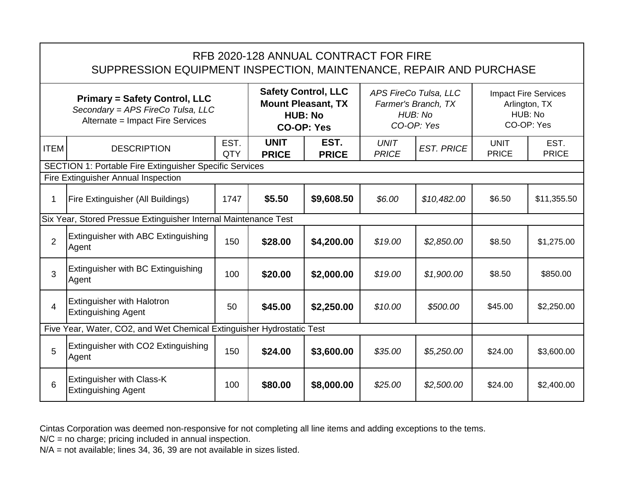|                                                                                                               | RFB 2020-128 ANNUAL CONTRACT FOR FIRE<br>SUPPRESSION EQUIPMENT INSPECTION, MAINTENANCE, REPAIR AND PURCHASE |             |                                                                                                |                      |                                                                       |                   |                                                                       |                      |  |  |  |  |
|---------------------------------------------------------------------------------------------------------------|-------------------------------------------------------------------------------------------------------------|-------------|------------------------------------------------------------------------------------------------|----------------------|-----------------------------------------------------------------------|-------------------|-----------------------------------------------------------------------|----------------------|--|--|--|--|
| <b>Primary = Safety Control, LLC</b><br>Secondary = APS FireCo Tulsa, LLC<br>Alternate = Impact Fire Services |                                                                                                             |             | <b>Safety Control, LLC</b><br><b>Mount Pleasant, TX</b><br><b>HUB: No</b><br><b>CO-OP: Yes</b> |                      | APS FireCo Tulsa, LLC<br>Farmer's Branch, TX<br>HUB: No<br>CO-OP: Yes |                   | <b>Impact Fire Services</b><br>Arlington, TX<br>HUB: No<br>CO-OP: Yes |                      |  |  |  |  |
| <b>ITEM</b>                                                                                                   | <b>DESCRIPTION</b>                                                                                          | EST.<br>QTY | <b>UNIT</b><br><b>PRICE</b>                                                                    | EST.<br><b>PRICE</b> | <b>UNIT</b><br><b>PRICE</b>                                           | <b>EST. PRICE</b> | <b>UNIT</b><br><b>PRICE</b>                                           | EST.<br><b>PRICE</b> |  |  |  |  |
|                                                                                                               | <b>SECTION 1: Portable Fire Extinguisher Specific Services</b><br>Fire Extinguisher Annual Inspection       |             |                                                                                                |                      |                                                                       |                   |                                                                       |                      |  |  |  |  |
|                                                                                                               |                                                                                                             |             |                                                                                                |                      |                                                                       |                   |                                                                       |                      |  |  |  |  |
| 1                                                                                                             | Fire Extinguisher (All Buildings)                                                                           | 1747        | \$5.50                                                                                         | \$9,608.50           | \$6.00                                                                | \$10,482.00       | \$6.50                                                                | \$11,355.50          |  |  |  |  |
|                                                                                                               | Six Year, Stored Pressue Extinguisher Internal Maintenance Test                                             |             |                                                                                                |                      |                                                                       |                   |                                                                       |                      |  |  |  |  |
| $\overline{2}$                                                                                                | Extinguisher with ABC Extinguishing<br>Agent                                                                | 150         | \$28.00                                                                                        | \$4,200.00           | \$19.00                                                               | \$2,850.00        | \$8.50                                                                | \$1,275.00           |  |  |  |  |
| 3                                                                                                             | Extinguisher with BC Extinguishing<br>Agent                                                                 | 100         | \$20.00                                                                                        | \$2,000.00           | \$19.00                                                               | \$1,900.00        | \$8.50                                                                | \$850.00             |  |  |  |  |
| $\overline{4}$                                                                                                | <b>Extinguisher with Halotron</b><br><b>Extinguishing Agent</b>                                             | 50          | \$45.00                                                                                        | \$2,250.00           | \$10.00                                                               | \$500.00          | \$45.00                                                               | \$2,250.00           |  |  |  |  |
|                                                                                                               | Five Year, Water, CO2, and Wet Chemical Extinguisher Hydrostatic Test                                       |             |                                                                                                |                      |                                                                       |                   |                                                                       |                      |  |  |  |  |
| 5                                                                                                             | Extinguisher with CO2 Extinguishing<br>Agent                                                                | 150         | \$24.00                                                                                        | \$3,600.00           | \$35.00                                                               | \$5,250.00        | \$24.00                                                               | \$3,600.00           |  |  |  |  |
| 6                                                                                                             | <b>Extinguisher with Class-K</b><br><b>Extinguishing Agent</b>                                              | 100         | \$80.00                                                                                        | \$8,000.00           | \$25.00                                                               | \$2,500.00        | \$24.00                                                               | \$2,400.00           |  |  |  |  |

N/C = no charge; pricing included in annual inspection.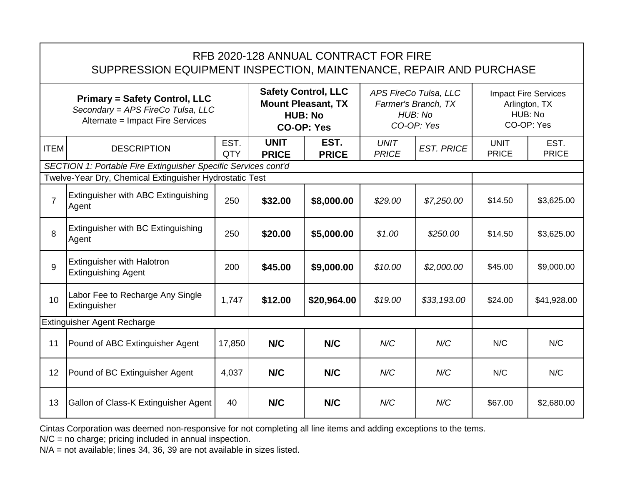|                                                                                                               | RFB 2020-128 ANNUAL CONTRACT FOR FIRE<br>SUPPRESSION EQUIPMENT INSPECTION, MAINTENANCE, REPAIR AND PURCHASE |                    |                                                                                                |                      |                                                                       |                   |                                                                       |                      |  |  |  |
|---------------------------------------------------------------------------------------------------------------|-------------------------------------------------------------------------------------------------------------|--------------------|------------------------------------------------------------------------------------------------|----------------------|-----------------------------------------------------------------------|-------------------|-----------------------------------------------------------------------|----------------------|--|--|--|
| <b>Primary = Safety Control, LLC</b><br>Secondary = APS FireCo Tulsa, LLC<br>Alternate = Impact Fire Services |                                                                                                             |                    | <b>Safety Control, LLC</b><br><b>Mount Pleasant, TX</b><br><b>HUB: No</b><br><b>CO-OP: Yes</b> |                      | APS FireCo Tulsa, LLC<br>Farmer's Branch, TX<br>HUB: No<br>CO-OP: Yes |                   | <b>Impact Fire Services</b><br>Arlington, TX<br>HUB: No<br>CO-OP: Yes |                      |  |  |  |
| <b>ITEM</b>                                                                                                   | <b>DESCRIPTION</b>                                                                                          | EST.<br><b>QTY</b> | <b>UNIT</b><br><b>PRICE</b>                                                                    | EST.<br><b>PRICE</b> | <b>UNIT</b><br><b>PRICE</b>                                           | <b>EST. PRICE</b> | <b>UNIT</b><br><b>PRICE</b>                                           | EST.<br><b>PRICE</b> |  |  |  |
|                                                                                                               | SECTION 1: Portable Fire Extinguisher Specific Services cont'd                                              |                    |                                                                                                |                      |                                                                       |                   |                                                                       |                      |  |  |  |
|                                                                                                               | Twelve-Year Dry, Chemical Extinguisher Hydrostatic Test                                                     |                    |                                                                                                |                      |                                                                       |                   |                                                                       |                      |  |  |  |
| $\overline{7}$                                                                                                | Extinguisher with ABC Extinguishing<br>Agent                                                                | 250                | \$32.00                                                                                        | \$8,000.00           | \$29.00                                                               | \$7,250.00        | \$14.50                                                               | \$3,625.00           |  |  |  |
| 8                                                                                                             | Extinguisher with BC Extinguishing<br>Agent                                                                 | 250                | \$20.00                                                                                        | \$5,000.00           | \$1.00                                                                | \$250.00          | \$14.50                                                               | \$3,625.00           |  |  |  |
| 9                                                                                                             | <b>Extinguisher with Halotron</b><br><b>Extinguishing Agent</b>                                             | 200                | \$45.00                                                                                        | \$9,000.00           | \$10.00                                                               | \$2,000.00        | \$45.00                                                               | \$9,000.00           |  |  |  |
| 10                                                                                                            | Labor Fee to Recharge Any Single<br>Extinguisher                                                            | 1,747              | \$12.00                                                                                        | \$20,964.00          | \$19.00                                                               | \$33,193.00       | \$24.00                                                               | \$41,928.00          |  |  |  |
|                                                                                                               | <b>Extinguisher Agent Recharge</b>                                                                          |                    |                                                                                                |                      |                                                                       |                   |                                                                       |                      |  |  |  |
| 11                                                                                                            | Pound of ABC Extinguisher Agent                                                                             | 17,850             | N/C                                                                                            | N/C                  | N/C                                                                   | N/C               | N/C                                                                   | N/C                  |  |  |  |
| 12                                                                                                            | Pound of BC Extinguisher Agent                                                                              | 4,037              | N/C                                                                                            | N/C                  | N/C                                                                   | N/C               | N/C                                                                   | N/C                  |  |  |  |
| 13                                                                                                            | Gallon of Class-K Extinguisher Agent                                                                        | 40                 | N/C                                                                                            | N/C                  | N/C                                                                   | N/C               | \$67.00                                                               | \$2,680.00           |  |  |  |

N/C = no charge; pricing included in annual inspection.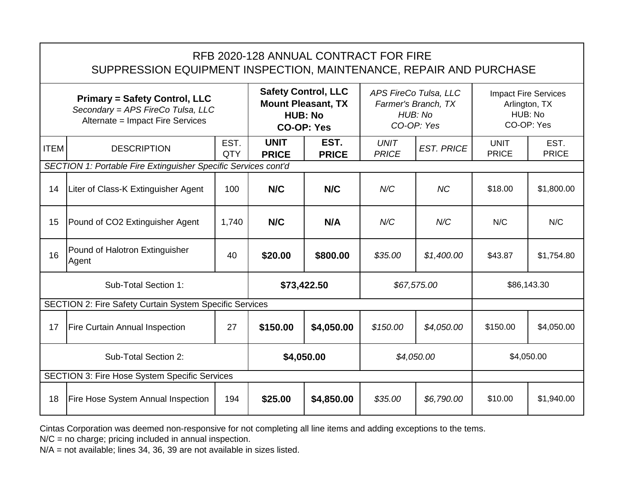|                                                                                                               | RFB 2020-128 ANNUAL CONTRACT FOR FIRE<br>SUPPRESSION EQUIPMENT INSPECTION, MAINTENANCE, REPAIR AND PURCHASE |                    |                                                                                                |                      |                                                                       |                                                                       |                             |                      |  |  |  |
|---------------------------------------------------------------------------------------------------------------|-------------------------------------------------------------------------------------------------------------|--------------------|------------------------------------------------------------------------------------------------|----------------------|-----------------------------------------------------------------------|-----------------------------------------------------------------------|-----------------------------|----------------------|--|--|--|
| <b>Primary = Safety Control, LLC</b><br>Secondary = APS FireCo Tulsa, LLC<br>Alternate = Impact Fire Services |                                                                                                             |                    | <b>Safety Control, LLC</b><br><b>Mount Pleasant, TX</b><br><b>HUB: No</b><br><b>CO-OP: Yes</b> |                      | APS FireCo Tulsa, LLC<br>Farmer's Branch, TX<br>HUB: No<br>CO-OP: Yes | <b>Impact Fire Services</b><br>Arlington, TX<br>HUB: No<br>CO-OP: Yes |                             |                      |  |  |  |
| <b>ITEM</b>                                                                                                   | <b>DESCRIPTION</b>                                                                                          | EST.<br><b>QTY</b> | <b>UNIT</b><br><b>PRICE</b>                                                                    | EST.<br><b>PRICE</b> | <b>UNIT</b><br><b>PRICE</b>                                           | <b>EST. PRICE</b>                                                     | <b>UNIT</b><br><b>PRICE</b> | EST.<br><b>PRICE</b> |  |  |  |
|                                                                                                               | SECTION 1: Portable Fire Extinguisher Specific Services cont'd                                              |                    |                                                                                                |                      |                                                                       |                                                                       |                             |                      |  |  |  |
| 14                                                                                                            | Liter of Class-K Extinguisher Agent                                                                         | 100                | N/C                                                                                            | N/C                  | N/C                                                                   | <b>NC</b>                                                             | \$18.00                     | \$1,800.00           |  |  |  |
| 15                                                                                                            | Pound of CO2 Extinguisher Agent                                                                             | 1,740              | N/C                                                                                            | N/A                  | N/C                                                                   | N/C                                                                   | N/C                         | N/C                  |  |  |  |
| 16                                                                                                            | Pound of Halotron Extinguisher<br>Agent                                                                     | 40                 | \$20.00                                                                                        | \$800.00             | \$35.00                                                               | \$1,400.00                                                            | \$43.87                     | \$1,754.80           |  |  |  |
|                                                                                                               | Sub-Total Section 1:                                                                                        |                    | \$73,422.50                                                                                    |                      | \$67,575.00                                                           |                                                                       | \$86,143.30                 |                      |  |  |  |
|                                                                                                               | <b>SECTION 2: Fire Safety Curtain System Specific Services</b>                                              |                    |                                                                                                |                      |                                                                       |                                                                       |                             |                      |  |  |  |
| 17                                                                                                            | <b>Fire Curtain Annual Inspection</b>                                                                       | 27                 | \$150.00                                                                                       | \$4,050.00           | \$150.00                                                              | \$4,050.00                                                            | \$150.00                    | \$4,050.00           |  |  |  |
| Sub-Total Section 2:                                                                                          |                                                                                                             |                    | \$4,050.00                                                                                     |                      | \$4,050.00                                                            |                                                                       | \$4,050.00                  |                      |  |  |  |
|                                                                                                               | <b>SECTION 3: Fire Hose System Specific Services</b>                                                        |                    |                                                                                                |                      |                                                                       |                                                                       |                             |                      |  |  |  |
| 18                                                                                                            | <b>Fire Hose System Annual Inspection</b>                                                                   | 194                | \$25,00                                                                                        | \$4,850.00           | \$35.00                                                               | \$6,790.00                                                            | \$10.00                     | \$1,940.00           |  |  |  |

N/C = no charge; pricing included in annual inspection.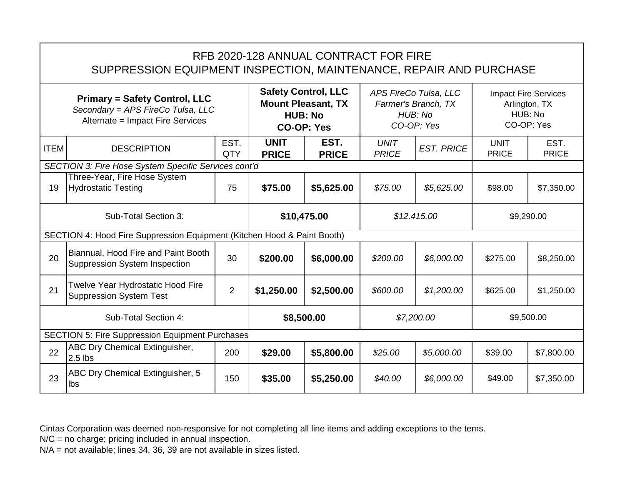|                                                                                                               | RFB 2020-128 ANNUAL CONTRACT FOR FIRE<br>SUPPRESSION EQUIPMENT INSPECTION, MAINTENANCE, REPAIR AND PURCHASE |                    |                                                                                                |                      |                                                                       |                   |                                                                       |                      |  |  |  |  |  |
|---------------------------------------------------------------------------------------------------------------|-------------------------------------------------------------------------------------------------------------|--------------------|------------------------------------------------------------------------------------------------|----------------------|-----------------------------------------------------------------------|-------------------|-----------------------------------------------------------------------|----------------------|--|--|--|--|--|
| <b>Primary = Safety Control, LLC</b><br>Secondary = APS FireCo Tulsa, LLC<br>Alternate = Impact Fire Services |                                                                                                             |                    | <b>Safety Control, LLC</b><br><b>Mount Pleasant, TX</b><br><b>HUB: No</b><br><b>CO-OP: Yes</b> |                      | APS FireCo Tulsa, LLC<br>Farmer's Branch, TX<br>HUB: No<br>CO-OP: Yes |                   | <b>Impact Fire Services</b><br>Arlington, TX<br>HUB: No<br>CO-OP: Yes |                      |  |  |  |  |  |
| <b>ITEM</b>                                                                                                   | <b>DESCRIPTION</b>                                                                                          | EST.<br><b>QTY</b> | <b>UNIT</b><br><b>PRICE</b>                                                                    | EST.<br><b>PRICE</b> | <b>UNIT</b><br><b>PRICE</b>                                           | <b>EST. PRICE</b> | <b>UNIT</b><br><b>PRICE</b>                                           | EST.<br><b>PRICE</b> |  |  |  |  |  |
| SECTION 3: Fire Hose System Specific Services cont'd                                                          |                                                                                                             |                    |                                                                                                |                      |                                                                       |                   |                                                                       |                      |  |  |  |  |  |
| 19                                                                                                            | Three-Year, Fire Hose System<br><b>Hydrostatic Testing</b>                                                  | 75                 | \$75.00                                                                                        | \$5,625.00           | \$75.00                                                               | \$5,625.00        | \$98.00                                                               | \$7,350.00           |  |  |  |  |  |
|                                                                                                               | Sub-Total Section 3:                                                                                        |                    |                                                                                                | \$10,475.00          |                                                                       | \$12,415.00       |                                                                       | \$9,290.00           |  |  |  |  |  |
|                                                                                                               | SECTION 4: Hood Fire Suppression Equipment (Kitchen Hood & Paint Booth)                                     |                    |                                                                                                |                      |                                                                       |                   |                                                                       |                      |  |  |  |  |  |
| 20                                                                                                            | Biannual, Hood Fire and Paint Booth<br><b>Suppression System Inspection</b>                                 | 30                 | \$200.00                                                                                       | \$6,000.00           | \$200.00                                                              | \$6,000.00        | \$275.00                                                              | \$8,250.00           |  |  |  |  |  |
| 21                                                                                                            | Twelve Year Hydrostatic Hood Fire<br><b>Suppression System Test</b>                                         | $\overline{2}$     | \$1,250.00                                                                                     | \$2,500.00           | \$600.00                                                              | \$1,200.00        | \$625.00                                                              | \$1,250.00           |  |  |  |  |  |
|                                                                                                               | Sub-Total Section 4:                                                                                        |                    |                                                                                                | \$8,500.00           |                                                                       | \$7,200.00        |                                                                       | \$9,500.00           |  |  |  |  |  |
|                                                                                                               | <b>SECTION 5: Fire Suppression Equipment Purchases</b>                                                      |                    |                                                                                                |                      |                                                                       |                   |                                                                       |                      |  |  |  |  |  |
| 22                                                                                                            | <b>ABC Dry Chemical Extinguisher,</b><br>$2.5$ lbs                                                          | 200                | \$29.00                                                                                        | \$5,800.00           | \$25.00                                                               | \$5,000.00        | \$39.00                                                               | \$7,800.00           |  |  |  |  |  |
| 23                                                                                                            | ABC Dry Chemical Extinguisher, 5<br>lbs                                                                     | 150                | \$35.00                                                                                        | \$5,250.00           | \$40.00                                                               | \$6,000.00        | \$49.00                                                               | \$7,350.00           |  |  |  |  |  |

N/C = no charge; pricing included in annual inspection.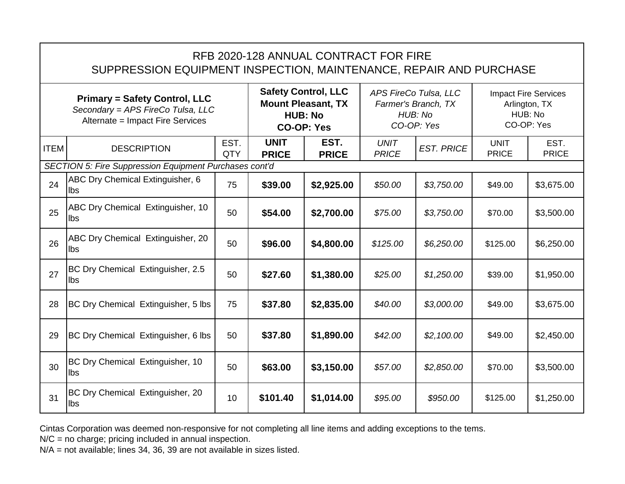|                                                                                                               | RFB 2020-128 ANNUAL CONTRACT FOR FIRE<br>SUPPRESSION EQUIPMENT INSPECTION, MAINTENANCE, REPAIR AND PURCHASE |                    |                                                                                                |                      |                                                                       |                   |                                                                       |                      |  |  |  |  |
|---------------------------------------------------------------------------------------------------------------|-------------------------------------------------------------------------------------------------------------|--------------------|------------------------------------------------------------------------------------------------|----------------------|-----------------------------------------------------------------------|-------------------|-----------------------------------------------------------------------|----------------------|--|--|--|--|
| <b>Primary = Safety Control, LLC</b><br>Secondary = APS FireCo Tulsa, LLC<br>Alternate = Impact Fire Services |                                                                                                             |                    | <b>Safety Control, LLC</b><br><b>Mount Pleasant, TX</b><br><b>HUB: No</b><br><b>CO-OP: Yes</b> |                      | APS FireCo Tulsa, LLC<br>Farmer's Branch, TX<br>HUB: No<br>CO-OP: Yes |                   | <b>Impact Fire Services</b><br>Arlington, TX<br>HUB: No<br>CO-OP: Yes |                      |  |  |  |  |
| <b>ITEM</b>                                                                                                   | <b>DESCRIPTION</b>                                                                                          | EST.<br><b>QTY</b> | <b>UNIT</b><br><b>PRICE</b>                                                                    | EST.<br><b>PRICE</b> | <b>UNIT</b><br><b>PRICE</b>                                           | <b>EST. PRICE</b> | <b>UNIT</b><br><b>PRICE</b>                                           | EST.<br><b>PRICE</b> |  |  |  |  |
|                                                                                                               | <b>SECTION 5: Fire Suppression Equipment Purchases cont'd</b>                                               |                    |                                                                                                |                      |                                                                       |                   |                                                                       |                      |  |  |  |  |
| 24                                                                                                            | ABC Dry Chemical Extinguisher, 6<br>lbs                                                                     | 75                 | \$39.00                                                                                        | \$2,925.00           | \$50.00                                                               | \$3,750.00        | \$49.00                                                               | \$3,675.00           |  |  |  |  |
| 25                                                                                                            | ABC Dry Chemical Extinguisher, 10<br>lbs                                                                    | 50                 | \$54.00                                                                                        | \$2,700.00           | \$75.00                                                               | \$3,750.00        | \$70.00                                                               | \$3,500.00           |  |  |  |  |
| 26                                                                                                            | ABC Dry Chemical Extinguisher, 20<br>Ilbs                                                                   | 50                 | \$96.00                                                                                        | \$4,800.00           | \$125.00                                                              | \$6,250.00        | \$125.00                                                              | \$6,250.00           |  |  |  |  |
| 27                                                                                                            | BC Dry Chemical Extinguisher, 2.5<br>lbs                                                                    | 50                 | \$27.60                                                                                        | \$1,380.00           | \$25.00                                                               | \$1,250.00        | \$39.00                                                               | \$1,950.00           |  |  |  |  |
| 28                                                                                                            | BC Dry Chemical Extinguisher, 5 lbs                                                                         | 75                 | \$37.80                                                                                        | \$2,835.00           | \$40.00                                                               | \$3,000.00        | \$49.00                                                               | \$3,675.00           |  |  |  |  |
| 29                                                                                                            | BC Dry Chemical Extinguisher, 6 lbs                                                                         | 50                 | \$37.80                                                                                        | \$1,890.00           | \$42.00                                                               | \$2,100.00        | \$49.00                                                               | \$2,450.00           |  |  |  |  |
| 30                                                                                                            | BC Dry Chemical Extinguisher, 10<br>lbs                                                                     | 50                 | \$63.00                                                                                        | \$3,150.00           | \$57.00                                                               | \$2,850.00        | \$70.00                                                               | \$3,500.00           |  |  |  |  |
| 31                                                                                                            | BC Dry Chemical Extinguisher, 20<br>lbs                                                                     | 10                 | \$101.40                                                                                       | \$1,014.00           | \$95.00                                                               | \$950.00          | \$125.00                                                              | \$1,250.00           |  |  |  |  |

N/C = no charge; pricing included in annual inspection.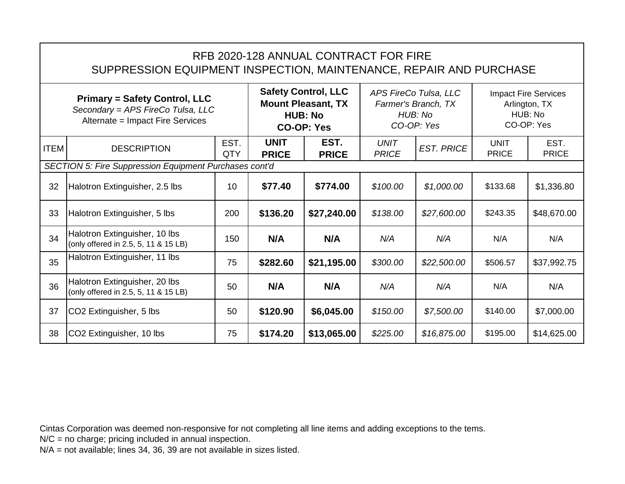| RFB 2020-128 ANNUAL CONTRACT FOR FIRE<br>SUPPRESSION EQUIPMENT INSPECTION, MAINTENANCE, REPAIR AND PURCHASE   |             |                             |                                                                                                |                             |                                                                       |                             |                                                                       |  |  |  |  |
|---------------------------------------------------------------------------------------------------------------|-------------|-----------------------------|------------------------------------------------------------------------------------------------|-----------------------------|-----------------------------------------------------------------------|-----------------------------|-----------------------------------------------------------------------|--|--|--|--|
| <b>Primary = Safety Control, LLC</b><br>Secondary = APS FireCo Tulsa, LLC<br>Alternate = Impact Fire Services |             |                             | <b>Safety Control, LLC</b><br><b>Mount Pleasant, TX</b><br><b>HUB: No</b><br><b>CO-OP: Yes</b> |                             | APS FireCo Tulsa, LLC<br>Farmer's Branch, TX<br>HUB: No<br>CO-OP: Yes |                             | <b>Impact Fire Services</b><br>Arlington, TX<br>HUB: No<br>CO-OP: Yes |  |  |  |  |
| <b>DESCRIPTION</b>                                                                                            | EST.<br>QTY | <b>UNIT</b><br><b>PRICE</b> | EST.<br><b>PRICE</b>                                                                           | <b>UNIT</b><br><b>PRICE</b> | <b>EST. PRICE</b>                                                     | <b>UNIT</b><br><b>PRICE</b> | EST.<br><b>PRICE</b>                                                  |  |  |  |  |
| <b>SECTION 5: Fire Suppression Equipment Purchases cont'd</b>                                                 |             |                             |                                                                                                |                             |                                                                       |                             |                                                                       |  |  |  |  |
| Halotron Extinguisher, 2.5 lbs                                                                                | 10          | \$77.40                     | \$774.00                                                                                       | \$100.00                    | \$1,000.00                                                            | \$133.68                    | \$1,336.80                                                            |  |  |  |  |
| Halotron Extinguisher, 5 lbs                                                                                  | 200         | \$136.20                    | \$27,240.00                                                                                    | \$138.00                    | \$27,600.00                                                           | \$243.35                    | \$48,670.00                                                           |  |  |  |  |
| Halotron Extinguisher, 10 lbs<br>(only offered in 2.5, 5, 11 & 15 LB)                                         | 150         | N/A                         | N/A                                                                                            | N/A                         | N/A                                                                   | N/A                         | N/A                                                                   |  |  |  |  |
| Halotron Extinguisher, 11 lbs                                                                                 | 75          | \$282.60                    | \$21,195.00                                                                                    | \$300.00                    | \$22,500.00                                                           | \$506.57                    | \$37,992.75                                                           |  |  |  |  |
| Halotron Extinguisher, 20 lbs<br>(only offered in 2.5, 5, 11 & 15 LB)                                         | 50          | N/A                         | N/A                                                                                            | N/A                         | N/A                                                                   | N/A                         | N/A                                                                   |  |  |  |  |
|                                                                                                               |             |                             |                                                                                                |                             |                                                                       |                             |                                                                       |  |  |  |  |

37 CO2 Extinguisher, 5 lbs  $\begin{vmatrix} 50 & 3120.90 & 1000 & 1000 \\ 50 & 100 & 100 & 1000 \\ 1000 & 100 & 100 & 1000 \end{vmatrix}$  \$140.00  $\begin{vmatrix} 57,000.00 & 1000 & 1000 \\ 1000 & 1000 & 1000 \\ 1000 & 1000 & 1000 \end{vmatrix}$ 

38 CO2 Extinguisher, 10 lbs 75 **\$174.20 \$13,065.00** *\$225.00 \$16,875.00* \$195.00 \$14,625.00

Cintas Corporation was deemed non-responsive for not completing all line items and adding exceptions to the tems.

N/C = no charge; pricing included in annual inspection.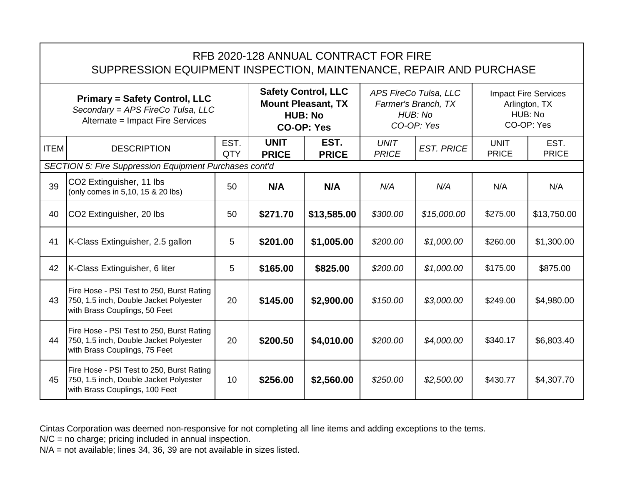|                                                                                                               | RFB 2020-128 ANNUAL CONTRACT FOR FIRE<br>SUPPRESSION EQUIPMENT INSPECTION, MAINTENANCE, REPAIR AND PURCHASE           |                                                                                                |                             |                                                                       |                             |                                                                       |                             |                      |  |  |  |  |
|---------------------------------------------------------------------------------------------------------------|-----------------------------------------------------------------------------------------------------------------------|------------------------------------------------------------------------------------------------|-----------------------------|-----------------------------------------------------------------------|-----------------------------|-----------------------------------------------------------------------|-----------------------------|----------------------|--|--|--|--|
| <b>Primary = Safety Control, LLC</b><br>Secondary = APS FireCo Tulsa, LLC<br>Alternate = Impact Fire Services |                                                                                                                       | <b>Safety Control, LLC</b><br><b>Mount Pleasant, TX</b><br><b>HUB: No</b><br><b>CO-OP: Yes</b> |                             | APS FireCo Tulsa, LLC<br>Farmer's Branch, TX<br>HUB: No<br>CO-OP: Yes |                             | <b>Impact Fire Services</b><br>Arlington, TX<br>HUB: No<br>CO-OP: Yes |                             |                      |  |  |  |  |
| <b>ITEM</b>                                                                                                   | <b>DESCRIPTION</b>                                                                                                    | EST.<br><b>QTY</b>                                                                             | <b>UNIT</b><br><b>PRICE</b> | EST.<br><b>PRICE</b>                                                  | <b>UNIT</b><br><b>PRICE</b> | <b>EST. PRICE</b>                                                     | <b>UNIT</b><br><b>PRICE</b> | EST.<br><b>PRICE</b> |  |  |  |  |
|                                                                                                               | <b>SECTION 5: Fire Suppression Equipment Purchases cont'd</b>                                                         |                                                                                                |                             |                                                                       |                             |                                                                       |                             |                      |  |  |  |  |
| 39                                                                                                            | CO2 Extinguisher, 11 lbs<br>(only comes in 5,10, 15 & 20 lbs)                                                         | 50                                                                                             | N/A                         | N/A                                                                   | N/A                         | N/A                                                                   | N/A                         | N/A                  |  |  |  |  |
| 40                                                                                                            | CO2 Extinguisher, 20 lbs                                                                                              | 50                                                                                             | \$271.70                    | \$13,585.00                                                           | \$300.00                    | \$15,000.00                                                           | \$275.00                    | \$13,750.00          |  |  |  |  |
| 41                                                                                                            | K-Class Extinguisher, 2.5 gallon                                                                                      | 5                                                                                              | \$201.00                    | \$1,005.00                                                            | \$200.00                    | \$1,000.00                                                            | \$260.00                    | \$1,300.00           |  |  |  |  |
| 42                                                                                                            | K-Class Extinguisher, 6 liter                                                                                         | 5                                                                                              | \$165.00                    | \$825.00                                                              | \$200.00                    | \$1,000.00                                                            | \$175.00                    | \$875.00             |  |  |  |  |
| 43                                                                                                            | Fire Hose - PSI Test to 250, Burst Rating<br>750, 1.5 inch, Double Jacket Polyester<br>with Brass Couplings, 50 Feet  | 20                                                                                             | \$145.00                    | \$2,900.00                                                            | \$150.00                    | \$3,000.00                                                            | \$249.00                    | \$4,980.00           |  |  |  |  |
| 44                                                                                                            | Fire Hose - PSI Test to 250, Burst Rating<br>750, 1.5 inch, Double Jacket Polyester<br>with Brass Couplings, 75 Feet  | 20                                                                                             | \$200.50                    | \$4,010.00                                                            | \$200.00                    | \$4,000.00                                                            | \$340.17                    | \$6,803.40           |  |  |  |  |
| 45                                                                                                            | Fire Hose - PSI Test to 250, Burst Rating<br>750, 1.5 inch, Double Jacket Polyester<br>with Brass Couplings, 100 Feet | 10                                                                                             | \$256.00                    | \$2,560.00                                                            | \$250.00                    | \$2,500.00                                                            | \$430.77                    | \$4,307.70           |  |  |  |  |

N/C = no charge; pricing included in annual inspection.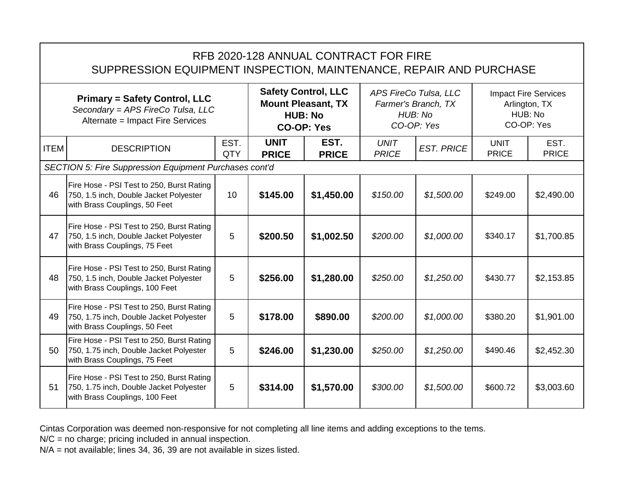|                                                                                                               | RFB 2020-128 ANNUAL CONTRACT FOR FIRE<br>SUPPRESSION EQUIPMENT INSPECTION, MAINTENANCE, REPAIR AND PURCHASE            |                    |                                                                                                |                      |                                                                       |                   |                                                                       |                      |  |  |  |  |
|---------------------------------------------------------------------------------------------------------------|------------------------------------------------------------------------------------------------------------------------|--------------------|------------------------------------------------------------------------------------------------|----------------------|-----------------------------------------------------------------------|-------------------|-----------------------------------------------------------------------|----------------------|--|--|--|--|
| <b>Primary = Safety Control, LLC</b><br>Secondary = APS FireCo Tulsa, LLC<br>Alternate = Impact Fire Services |                                                                                                                        |                    | <b>Safety Control, LLC</b><br><b>Mount Pleasant, TX</b><br><b>HUB: No</b><br><b>CO-OP: Yes</b> |                      | APS FireCo Tulsa, LLC<br>Farmer's Branch, TX<br>HUB: No<br>CO-OP: Yes |                   | <b>Impact Fire Services</b><br>Arlington, TX<br>HUB: No<br>CO-OP: Yes |                      |  |  |  |  |
| <b>ITEM</b>                                                                                                   | <b>DESCRIPTION</b>                                                                                                     | EST.<br><b>QTY</b> | <b>UNIT</b><br><b>PRICE</b>                                                                    | EST.<br><b>PRICE</b> | <b>UNIT</b><br><b>PRICE</b>                                           | <b>EST. PRICE</b> | <b>UNIT</b><br><b>PRICE</b>                                           | EST.<br><b>PRICE</b> |  |  |  |  |
|                                                                                                               | <b>SECTION 5: Fire Suppression Equipment Purchases cont'd</b>                                                          |                    |                                                                                                |                      |                                                                       |                   |                                                                       |                      |  |  |  |  |
| 46                                                                                                            | Fire Hose - PSI Test to 250, Burst Rating<br>750, 1.5 inch, Double Jacket Polyester<br>with Brass Couplings, 50 Feet   | 10                 | \$145.00                                                                                       | \$1,450.00           | \$150.00                                                              | \$1,500.00        | \$249.00                                                              | \$2,490.00           |  |  |  |  |
| 47                                                                                                            | Fire Hose - PSI Test to 250, Burst Rating<br>750, 1.5 inch, Double Jacket Polyester<br>with Brass Couplings, 75 Feet   | 5                  | \$200.50                                                                                       | \$1,002.50           | \$200.00                                                              | \$1,000.00        | \$340.17                                                              | \$1,700.85           |  |  |  |  |
| 48                                                                                                            | Fire Hose - PSI Test to 250, Burst Rating<br>750, 1.5 inch, Double Jacket Polyester<br>with Brass Couplings, 100 Feet  | 5                  | \$256.00                                                                                       | \$1,280.00           | \$250.00                                                              | \$1,250.00        | \$430.77                                                              | \$2,153.85           |  |  |  |  |
| 49                                                                                                            | Fire Hose - PSI Test to 250, Burst Rating<br>750, 1.75 inch, Double Jacket Polyester<br>with Brass Couplings, 50 Feet  | 5                  | \$178.00                                                                                       | \$890.00             | \$200.00                                                              | \$1,000.00        | \$380.20                                                              | \$1,901.00           |  |  |  |  |
| 50                                                                                                            | Fire Hose - PSI Test to 250, Burst Rating<br>750, 1.75 inch, Double Jacket Polyester<br>with Brass Couplings, 75 Feet  | 5                  | \$246.00                                                                                       | \$1,230.00           | \$250.00                                                              | \$1,250.00        | \$490.46                                                              | \$2,452.30           |  |  |  |  |
| 51                                                                                                            | Fire Hose - PSI Test to 250, Burst Rating<br>750, 1.75 inch, Double Jacket Polyester<br>with Brass Couplings, 100 Feet | 5                  | \$314.00                                                                                       | \$1,570.00           | \$300.00                                                              | \$1,500.00        | \$600.72                                                              | \$3,003.60           |  |  |  |  |

N/C = no charge; pricing included in annual inspection.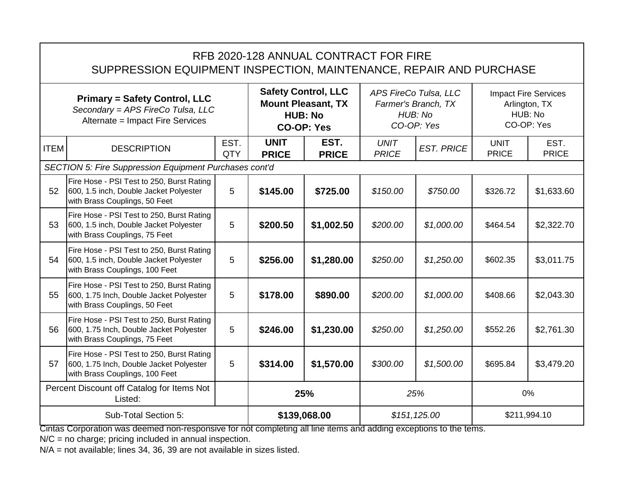|                                                                                                               | RFB 2020-128 ANNUAL CONTRACT FOR FIRE<br>SUPPRESSION EQUIPMENT INSPECTION, MAINTENANCE, REPAIR AND PURCHASE            |                                                                                                |                             |                                                                       |                             |                                                                       |                             |                      |  |  |  |  |
|---------------------------------------------------------------------------------------------------------------|------------------------------------------------------------------------------------------------------------------------|------------------------------------------------------------------------------------------------|-----------------------------|-----------------------------------------------------------------------|-----------------------------|-----------------------------------------------------------------------|-----------------------------|----------------------|--|--|--|--|
| <b>Primary = Safety Control, LLC</b><br>Secondary = APS FireCo Tulsa, LLC<br>Alternate = Impact Fire Services |                                                                                                                        | <b>Safety Control, LLC</b><br><b>Mount Pleasant, TX</b><br><b>HUB: No</b><br><b>CO-OP: Yes</b> |                             | APS FireCo Tulsa, LLC<br>Farmer's Branch, TX<br>HUB: No<br>CO-OP: Yes |                             | <b>Impact Fire Services</b><br>Arlington, TX<br>HUB: No<br>CO-OP: Yes |                             |                      |  |  |  |  |
| <b>ITEM</b>                                                                                                   | <b>DESCRIPTION</b>                                                                                                     | EST.<br>QTY                                                                                    | <b>UNIT</b><br><b>PRICE</b> | EST.<br><b>PRICE</b>                                                  | <b>UNIT</b><br><b>PRICE</b> | <b>EST. PRICE</b>                                                     | <b>UNIT</b><br><b>PRICE</b> | EST.<br><b>PRICE</b> |  |  |  |  |
|                                                                                                               | SECTION 5: Fire Suppression Equipment Purchases cont'd                                                                 |                                                                                                |                             |                                                                       |                             |                                                                       |                             |                      |  |  |  |  |
| 52                                                                                                            | Fire Hose - PSI Test to 250, Burst Rating<br>600, 1.5 inch, Double Jacket Polyester<br>with Brass Couplings, 50 Feet   | 5                                                                                              | \$145.00                    | \$725.00                                                              | \$150.00                    | \$750.00                                                              | \$326.72                    | \$1,633.60           |  |  |  |  |
| 53                                                                                                            | Fire Hose - PSI Test to 250, Burst Rating<br>600, 1.5 inch, Double Jacket Polyester<br>with Brass Couplings, 75 Feet   | 5                                                                                              | \$200.50                    | \$1,002.50                                                            | \$200.00                    | \$1,000.00                                                            | \$464.54                    | \$2,322.70           |  |  |  |  |
| 54                                                                                                            | Fire Hose - PSI Test to 250, Burst Rating<br>600, 1.5 inch, Double Jacket Polyester<br>with Brass Couplings, 100 Feet  | 5                                                                                              | \$256.00                    | \$1,280.00                                                            | \$250.00                    | \$1,250.00                                                            | \$602.35                    | \$3,011.75           |  |  |  |  |
| 55                                                                                                            | Fire Hose - PSI Test to 250, Burst Rating<br>600, 1.75 Inch, Double Jacket Polyester<br>with Brass Couplings, 50 Feet  | 5                                                                                              | \$178.00                    | \$890.00                                                              | \$200.00                    | \$1,000.00                                                            | \$408.66                    | \$2,043.30           |  |  |  |  |
| 56                                                                                                            | Fire Hose - PSI Test to 250, Burst Rating<br>600, 1.75 Inch, Double Jacket Polyester<br>with Brass Couplings, 75 Feet  | 5                                                                                              | \$246.00                    | \$1,230.00                                                            | \$250.00                    | \$1,250.00                                                            | \$552.26                    | \$2,761.30           |  |  |  |  |
| 57                                                                                                            | Fire Hose - PSI Test to 250, Burst Rating<br>600, 1.75 Inch, Double Jacket Polyester<br>with Brass Couplings, 100 Feet | 5                                                                                              | \$314.00                    | \$1,570.00                                                            | \$300.00                    | \$1,500.00                                                            | \$695.84                    | \$3,479.20           |  |  |  |  |
|                                                                                                               | Percent Discount off Catalog for Items Not<br>Listed:                                                                  |                                                                                                | 25%                         |                                                                       | 25%                         |                                                                       | 0%                          |                      |  |  |  |  |
| Sub-Total Section 5:                                                                                          |                                                                                                                        |                                                                                                | \$139,068.00                | \$151, 125.00                                                         |                             | \$211,994.10                                                          |                             |                      |  |  |  |  |

N/C = no charge; pricing included in annual inspection.